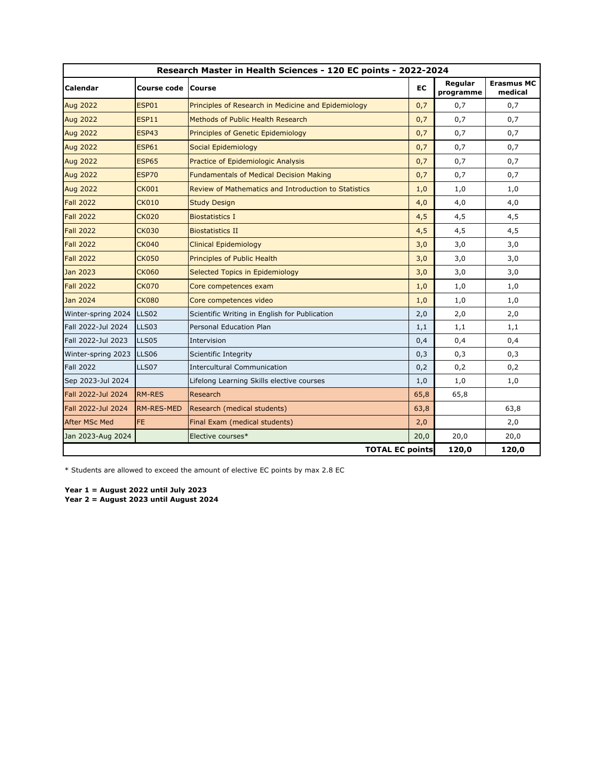| Research Master in Health Sciences - 120 EC points - 2022-2024 |                   |                                                      |      |                      |                              |  |
|----------------------------------------------------------------|-------------------|------------------------------------------------------|------|----------------------|------------------------------|--|
| <b>Calendar</b>                                                | Course code       | <b>Course</b>                                        | EC   | Regular<br>programme | <b>Erasmus MC</b><br>medical |  |
| <b>Aug 2022</b>                                                | <b>ESP01</b>      | Principles of Research in Medicine and Epidemiology  | 0,7  | 0,7                  | 0,7                          |  |
| <b>Aug 2022</b>                                                | <b>ESP11</b>      | Methods of Public Health Research                    | 0,7  | 0,7                  | 0,7                          |  |
| <b>Aug 2022</b>                                                | <b>ESP43</b>      | Principles of Genetic Epidemiology                   | 0,7  | 0,7                  | 0,7                          |  |
| <b>Aug 2022</b>                                                | <b>ESP61</b>      | Social Epidemiology                                  | 0,7  | 0,7                  | 0,7                          |  |
| <b>Aug 2022</b>                                                | <b>ESP65</b>      | <b>Practice of Epidemiologic Analysis</b>            | 0,7  | 0,7                  | 0,7                          |  |
| <b>Aug 2022</b>                                                | <b>ESP70</b>      | <b>Fundamentals of Medical Decision Making</b>       | 0,7  | 0,7                  | 0,7                          |  |
| <b>Aug 2022</b>                                                | <b>CK001</b>      | Review of Mathematics and Introduction to Statistics | 1,0  | 1,0                  | 1,0                          |  |
| <b>Fall 2022</b>                                               | <b>CK010</b>      | <b>Study Design</b>                                  | 4,0  | 4,0                  | 4,0                          |  |
| <b>Fall 2022</b>                                               | <b>CK020</b>      | <b>Biostatistics I</b>                               | 4,5  | 4,5                  | 4,5                          |  |
| <b>Fall 2022</b>                                               | <b>CK030</b>      | <b>Biostatistics II</b>                              | 4,5  | 4,5                  | 4,5                          |  |
| <b>Fall 2022</b>                                               | <b>CK040</b>      | <b>Clinical Epidemiology</b>                         | 3,0  | 3,0                  | 3,0                          |  |
| <b>Fall 2022</b>                                               | <b>CK050</b>      | Principles of Public Health                          | 3,0  | 3,0                  | 3,0                          |  |
| Jan 2023                                                       | <b>CK060</b>      | Selected Topics in Epidemiology                      | 3,0  | 3,0                  | 3,0                          |  |
| <b>Fall 2022</b>                                               | <b>CK070</b>      | Core competences exam                                | 1,0  | 1,0                  | 1,0                          |  |
| Jan 2024                                                       | <b>CK080</b>      | Core competences video                               | 1,0  | 1,0                  | 1,0                          |  |
| Winter-spring 2024                                             | LLS <sub>02</sub> | Scientific Writing in English for Publication        | 2,0  | 2,0                  | 2,0                          |  |
| Fall 2022-Jul 2024                                             | LLS03             | Personal Education Plan                              | 1,1  | 1,1                  | 1,1                          |  |
| Fall 2022-Jul 2023                                             | LLS05             | Intervision                                          | 0,4  | 0,4                  | 0,4                          |  |
| Winter-spring 2023                                             | <b>LLS06</b>      | Scientific Integrity                                 | 0,3  | 0,3                  | 0,3                          |  |
| <b>Fall 2022</b>                                               | LLS07             | <b>Intercultural Communication</b>                   | 0,2  | 0,2                  | 0,2                          |  |
| Sep 2023-Jul 2024                                              |                   | Lifelong Learning Skills elective courses            | 1,0  | 1,0                  | 1,0                          |  |
| Fall 2022-Jul 2024                                             | <b>RM-RES</b>     | Research                                             | 65,8 | 65,8                 |                              |  |
| Fall 2022-Jul 2024                                             | <b>RM-RES-MED</b> | Research (medical students)                          | 63,8 |                      | 63,8                         |  |
| <b>After MSc Med</b>                                           | <b>FE</b>         | Final Exam (medical students)                        | 2,0  |                      | 2,0                          |  |
| Jan 2023-Aug 2024                                              |                   | Elective courses*                                    | 20,0 | 20,0                 | 20,0                         |  |
|                                                                |                   | <b>TOTAL EC points</b>                               |      | 120,0                | 120,0                        |  |

\* Students are allowed to exceed the amount of elective EC points by max 2.8 EC

**Year 1 = August 2022 until July 2023 Year 2 = August 2023 until August 2024**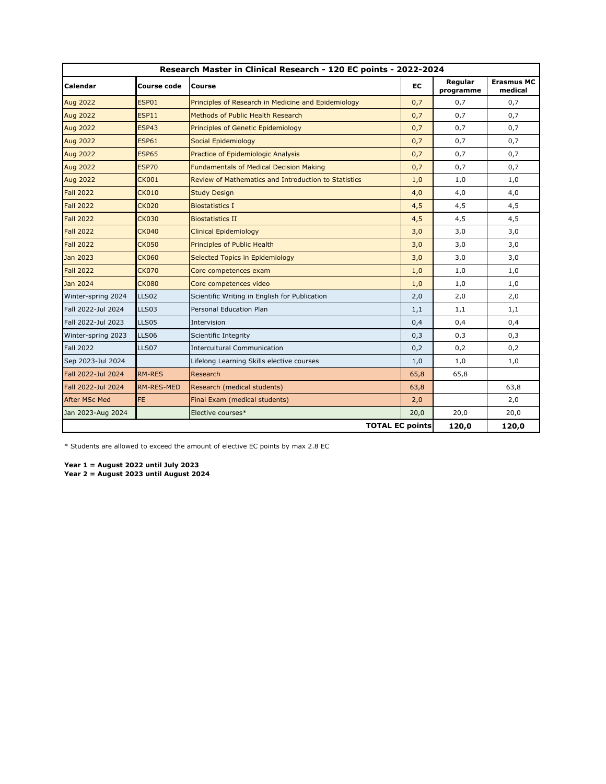| Research Master in Clinical Research - 120 EC points - 2022-2024 |                   |                                                      |      |                      |                              |  |
|------------------------------------------------------------------|-------------------|------------------------------------------------------|------|----------------------|------------------------------|--|
| Calendar                                                         | Course code       | Course                                               | EC   | Regular<br>programme | <b>Erasmus MC</b><br>medical |  |
| <b>Aug 2022</b>                                                  | <b>ESP01</b>      | Principles of Research in Medicine and Epidemiology  | 0,7  | 0,7                  | 0,7                          |  |
| <b>Aug 2022</b>                                                  | <b>ESP11</b>      | Methods of Public Health Research                    | 0,7  | 0,7                  | 0,7                          |  |
| <b>Aug 2022</b>                                                  | <b>ESP43</b>      | Principles of Genetic Epidemiology                   | 0,7  | 0,7                  | 0,7                          |  |
| <b>Aug 2022</b>                                                  | <b>ESP61</b>      | Social Epidemiology                                  | 0,7  | 0,7                  | 0,7                          |  |
| <b>Aug 2022</b>                                                  | <b>ESP65</b>      | Practice of Epidemiologic Analysis                   | 0,7  | 0,7                  | 0,7                          |  |
| <b>Aug 2022</b>                                                  | <b>ESP70</b>      | <b>Fundamentals of Medical Decision Making</b>       | 0,7  | 0,7                  | 0,7                          |  |
| <b>Aug 2022</b>                                                  | <b>CK001</b>      | Review of Mathematics and Introduction to Statistics | 1,0  | 1,0                  | 1,0                          |  |
| <b>Fall 2022</b>                                                 | <b>CK010</b>      | <b>Study Design</b>                                  | 4,0  | 4,0                  | 4,0                          |  |
| <b>Fall 2022</b>                                                 | <b>CK020</b>      | <b>Biostatistics I</b>                               | 4,5  | 4,5                  | 4,5                          |  |
| <b>Fall 2022</b>                                                 | <b>CK030</b>      | <b>Biostatistics II</b>                              | 4,5  | 4,5                  | 4,5                          |  |
| <b>Fall 2022</b>                                                 | <b>CK040</b>      | <b>Clinical Epidemiology</b>                         | 3,0  | 3,0                  | 3,0                          |  |
| <b>Fall 2022</b>                                                 | <b>CK050</b>      | Principles of Public Health                          | 3,0  | 3,0                  | 3,0                          |  |
| Jan 2023                                                         | <b>CK060</b>      | Selected Topics in Epidemiology                      | 3,0  | 3,0                  | 3,0                          |  |
| <b>Fall 2022</b>                                                 | <b>CK070</b>      | Core competences exam                                | 1,0  | 1,0                  | 1,0                          |  |
| Jan 2024                                                         | <b>CK080</b>      | Core competences video                               | 1,0  | 1,0                  | 1,0                          |  |
| Winter-spring 2024                                               | LLS <sub>02</sub> | Scientific Writing in English for Publication        | 2,0  | 2,0                  | 2,0                          |  |
| Fall 2022-Jul 2024                                               | LLS03             | Personal Education Plan                              | 1,1  | 1,1                  | 1,1                          |  |
| Fall 2022-Jul 2023                                               | LLS05             | Intervision                                          | 0,4  | 0,4                  | 0,4                          |  |
| Winter-spring 2023                                               | <b>LLS06</b>      | Scientific Integrity                                 | 0,3  | 0,3                  | 0,3                          |  |
| <b>Fall 2022</b>                                                 | LLS07             | <b>Intercultural Communication</b>                   | 0,2  | 0,2                  | 0,2                          |  |
| Sep 2023-Jul 2024                                                |                   | Lifelong Learning Skills elective courses            | 1,0  | 1,0                  | 1,0                          |  |
| Fall 2022-Jul 2024                                               | <b>RM-RES</b>     | Research                                             | 65,8 | 65,8                 |                              |  |
| Fall 2022-Jul 2024                                               | <b>RM-RES-MED</b> | Research (medical students)                          | 63,8 |                      | 63,8                         |  |
| <b>After MSc Med</b>                                             | <b>FE</b>         | Final Exam (medical students)                        | 2,0  |                      | 2,0                          |  |
| Jan 2023-Aug 2024                                                |                   | Elective courses*                                    | 20,0 | 20,0                 | 20,0                         |  |
|                                                                  |                   | <b>TOTAL EC points</b>                               |      | 120,0                | 120,0                        |  |

\* Students are allowed to exceed the amount of elective EC points by max 2.8 EC

**Year 1 = August 2022 until July 2023 Year 2 = August 2023 until August 2024**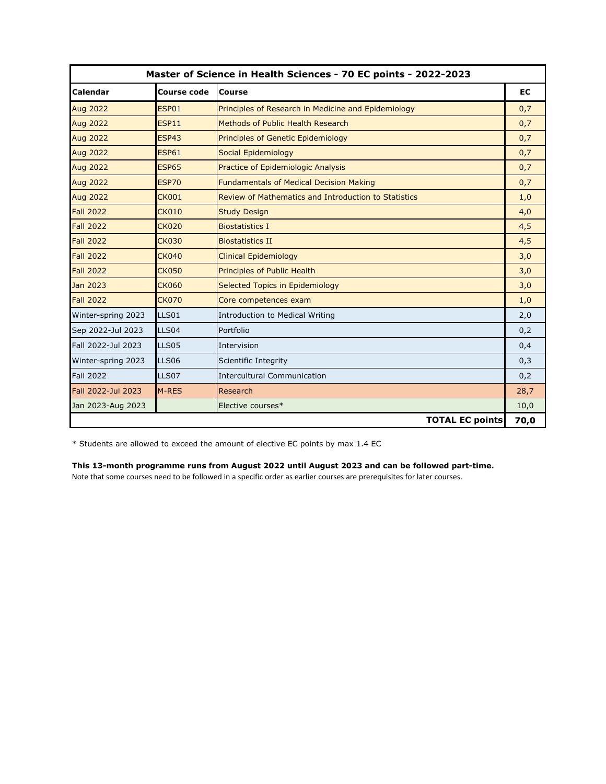| Master of Science in Health Sciences - 70 EC points - 2022-2023 |                    |                                                      |           |
|-----------------------------------------------------------------|--------------------|------------------------------------------------------|-----------|
| <b>Calendar</b>                                                 | <b>Course code</b> | <b>Course</b>                                        | <b>EC</b> |
| <b>Aug 2022</b>                                                 | ESP01              | Principles of Research in Medicine and Epidemiology  | 0,7       |
| <b>Aug 2022</b>                                                 | <b>ESP11</b>       | Methods of Public Health Research                    | 0,7       |
| <b>Aug 2022</b>                                                 | ESP43              | Principles of Genetic Epidemiology                   | 0,7       |
| <b>Aug 2022</b>                                                 | <b>ESP61</b>       | Social Epidemiology                                  | 0,7       |
| <b>Aug 2022</b>                                                 | <b>ESP65</b>       | Practice of Epidemiologic Analysis                   | 0,7       |
| <b>Aug 2022</b>                                                 | <b>ESP70</b>       | <b>Fundamentals of Medical Decision Making</b>       | 0,7       |
| <b>Aug 2022</b>                                                 | <b>CK001</b>       | Review of Mathematics and Introduction to Statistics | 1,0       |
| <b>Fall 2022</b>                                                | <b>CK010</b>       | <b>Study Design</b>                                  | 4,0       |
| <b>Fall 2022</b>                                                | <b>CK020</b>       | <b>Biostatistics I</b>                               | 4,5       |
| <b>Fall 2022</b>                                                | <b>CK030</b>       | <b>Biostatistics II</b>                              | 4,5       |
| <b>Fall 2022</b>                                                | <b>CK040</b>       | <b>Clinical Epidemiology</b>                         | 3,0       |
| <b>Fall 2022</b>                                                | <b>CK050</b>       | <b>Principles of Public Health</b>                   | 3,0       |
| Jan 2023                                                        | <b>CK060</b>       | Selected Topics in Epidemiology                      | 3,0       |
| <b>Fall 2022</b>                                                | <b>CK070</b>       | Core competences exam                                | 1,0       |
| Winter-spring 2023                                              | LLS01              | Introduction to Medical Writing                      | 2,0       |
| Sep 2022-Jul 2023                                               | LLS04              | Portfolio                                            | 0,2       |
| Fall 2022-Jul 2023                                              | LLS05              | Intervision                                          | 0,4       |
| Winter-spring 2023                                              | <b>LLS06</b>       | Scientific Integrity                                 | 0,3       |
| <b>Fall 2022</b>                                                | LLS07              | <b>Intercultural Communication</b>                   | 0,2       |
| Fall 2022-Jul 2023                                              | M-RES              | Research                                             | 28,7      |
| Jan 2023-Aug 2023                                               |                    | Elective courses*                                    | 10,0      |
|                                                                 |                    | <b>TOTAL EC points</b>                               | 70,0      |

\* Students are allowed to exceed the amount of elective EC points by max 1.4 EC

## **This 13-month programme runs from August 2022 until August 2023 and can be followed part-time.**

Note that some courses need to be followed in a specific order as earlier courses are prerequisites for later courses.